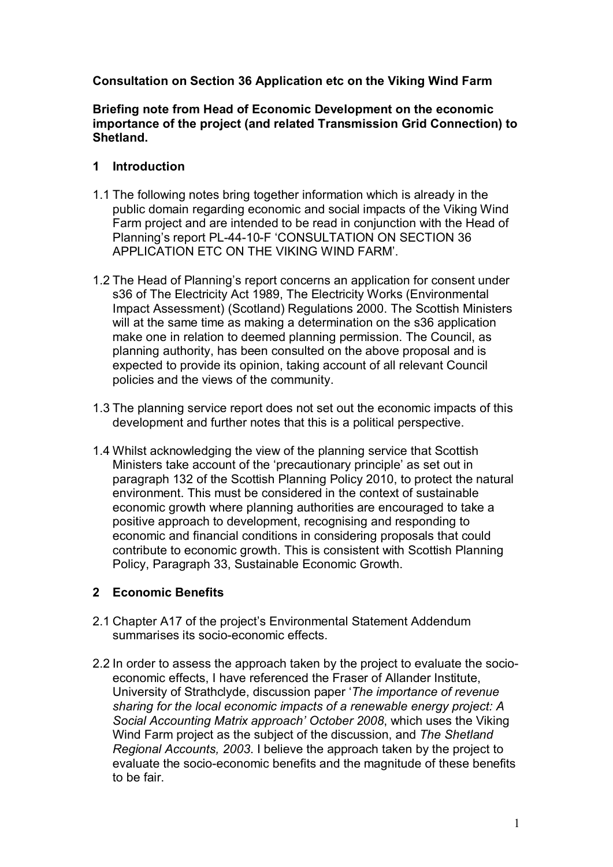## **Consultation on Section 36 Application etc on the Viking Wind Farm**

**Briefing note from Head of Economic Development on the economic importance of the project (and related Transmission Grid Connection) to Shetland.**

### **1 Introduction**

- 1.1 The following notes bring together information which is already in the public domain regarding economic and social impacts of the Viking Wind Farm project and are intended to be read in conjunction with the Head of Planning's report PL-44-10-F 'CONSULTATION ON SECTION 36 APPLICATION ETC ON THE VIKING WIND FARM'.
- 1.2 The Head of Planning's report concerns an application for consent under s36 of The Electricity Act 1989, The Electricity Works (Environmental Impact Assessment) (Scotland) Regulations 2000. The Scottish Ministers will at the same time as making a determination on the s36 application make one in relation to deemed planning permission. The Council, as planning authority, has been consulted on the above proposal and is expected to provide its opinion, taking account of all relevant Council policies and the views of the community.
- 1.3 The planning service report does not set out the economic impacts of this development and further notes that this is a political perspective.
- 1.4 Whilst acknowledging the view of the planning service that Scottish Ministers take account of the 'precautionary principle' as set out in paragraph 132 of the Scottish Planning Policy 2010, to protect the natural environment. This must be considered in the context of sustainable economic growth where planning authorities are encouraged to take a positive approach to development, recognising and responding to economic and financial conditions in considering proposals that could contribute to economic growth. This is consistent with Scottish Planning Policy, Paragraph 33, Sustainable Economic Growth.

## **2 Economic Benefits**

- 2.1 Chapter A17 of the project's Environmental Statement Addendum summarises its socio-economic effects.
- 2.2 In order to assess the approach taken by the project to evaluate the socioeconomic effects, I have referenced the Fraser of Allander Institute, University of Strathclyde, discussion paper '*The importance of revenue sharing for the local economic impacts of a renewable energy project: A Social Accounting Matrix approach' October 2008*, which uses the Viking Wind Farm project as the subject of the discussion, and *The Shetland Regional Accounts, 2003*. I believe the approach taken by the project to evaluate the socio-economic benefits and the magnitude of these benefits to be fair.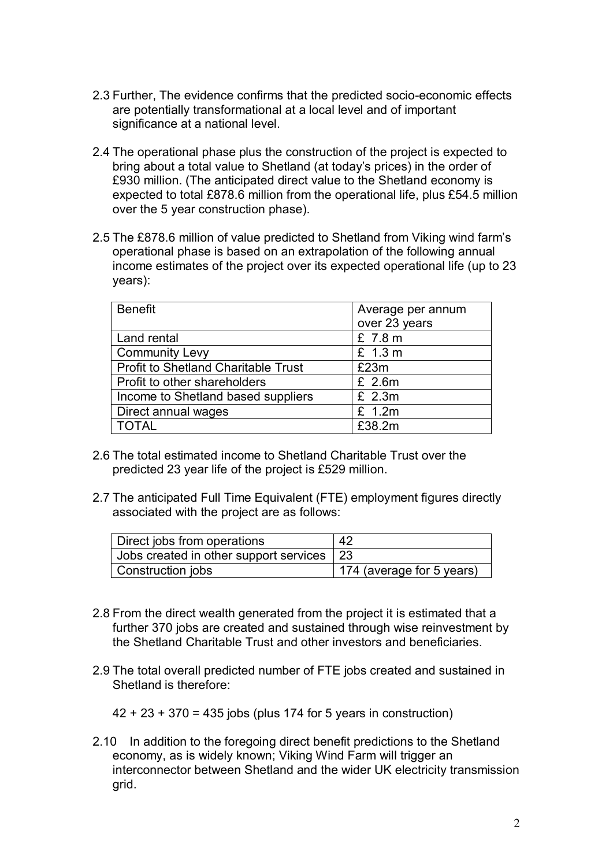- 2.3 Further, The evidence confirms that the predicted socio-economic effects are potentially transformational at a local level and of important significance at a national level.
- 2.4 The operational phase plus the construction of the project is expected to bring about a total value to Shetland (at today's prices) in the order of £930 million. (The anticipated direct value to the Shetland economy is expected to total £878.6 million from the operational life, plus £54.5 million over the 5 year construction phase).
- 2.5 The £878.6 million of value predicted to Shetland from Viking wind farm's operational phase is based on an extrapolation of the following annual income estimates of the project over its expected operational life (up to 23 years):

| <b>Benefit</b>                             | Average per annum<br>over 23 years |
|--------------------------------------------|------------------------------------|
| Land rental                                | £ 7.8 m                            |
| <b>Community Levy</b>                      | £ 1.3 m                            |
| <b>Profit to Shetland Charitable Trust</b> | £23m                               |
| Profit to other shareholders               | £ 2.6m                             |
| Income to Shetland based suppliers         | £ 2.3m                             |
| Direct annual wages                        | £ 1.2m                             |
| <b>TOTAL</b>                               | £38.2m                             |

- 2.6 The total estimated income to Shetland Charitable Trust over the predicted 23 year life of the project is £529 million.
- 2.7 The anticipated Full Time Equivalent (FTE) employment figures directly associated with the project are as follows:

| Direct jobs from operations               | -42                       |
|-------------------------------------------|---------------------------|
| Jobs created in other support services 23 |                           |
| Construction jobs                         | 174 (average for 5 years) |

- 2.8 From the direct wealth generated from the project it is estimated that a further 370 jobs are created and sustained through wise reinvestment by the Shetland Charitable Trust and other investors and beneficiaries.
- 2.9 The total overall predicted number of FTE jobs created and sustained in Shetland is therefore:

42 + 23 + 370 = 435 jobs (plus 174 for 5 years in construction)

2.10 In addition to the foregoing direct benefit predictions to the Shetland economy, as is widely known; Viking Wind Farm will trigger an interconnector between Shetland and the wider UK electricity transmission grid.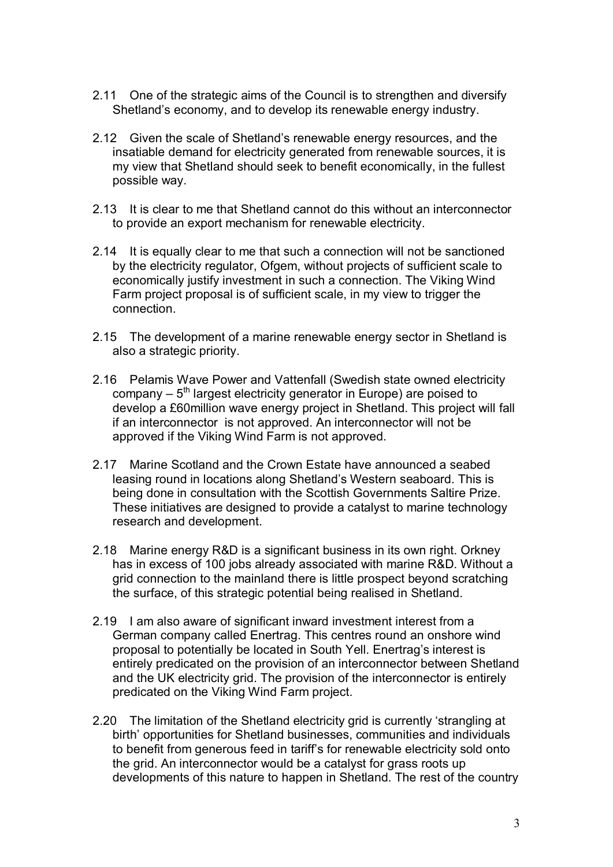- 2.11 One of the strategic aims of the Council is to strengthen and diversify Shetland's economy, and to develop its renewable energy industry.
- 2.12 Given the scale of Shetland's renewable energy resources, and the insatiable demand for electricity generated from renewable sources, it is my view that Shetland should seek to benefit economically, in the fullest possible way.
- 2.13 It is clear to me that Shetland cannot do this without an interconnector to provide an export mechanism for renewable electricity.
- 2.14 It is equally clear to me that such a connection will not be sanctioned by the electricity regulator, Ofgem, without projects of sufficient scale to economically justify investment in such a connection. The Viking Wind Farm project proposal is of sufficient scale, in my view to trigger the connection.
- 2.15 The development of a marine renewable energy sector in Shetland is also a strategic priority.
- 2.16 Pelamis Wave Power and Vattenfall (Swedish state owned electricity company  $-5<sup>th</sup>$  largest electricity generator in Europe) are poised to develop a £60million wave energy project in Shetland. This project will fall if an interconnector is not approved. An interconnector will not be approved if the Viking Wind Farm is not approved.
- 2.17 Marine Scotland and the Crown Estate have announced a seabed leasing round in locations along Shetland's Western seaboard. This is being done in consultation with the Scottish Governments Saltire Prize. These initiatives are designed to provide a catalyst to marine technology research and development.
- 2.18 Marine energy R&D is a significant business in its own right. Orkney has in excess of 100 jobs already associated with marine R&D. Without a grid connection to the mainland there is little prospect beyond scratching the surface, of this strategic potential being realised in Shetland.
- 2.19 I am also aware of significant inward investment interest from a German company called Enertrag. This centres round an onshore wind proposal to potentially be located in South Yell. Enertrag's interest is entirely predicated on the provision of an interconnector between Shetland and the UK electricity grid. The provision of the interconnector is entirely predicated on the Viking Wind Farm project.
- 2.20 The limitation of the Shetland electricity grid is currently 'strangling at birth' opportunities for Shetland businesses, communities and individuals to benefit from generous feed in tariff's for renewable electricity sold onto the grid. An interconnector would be a catalyst for grass roots up developments of this nature to happen in Shetland. The rest of the country